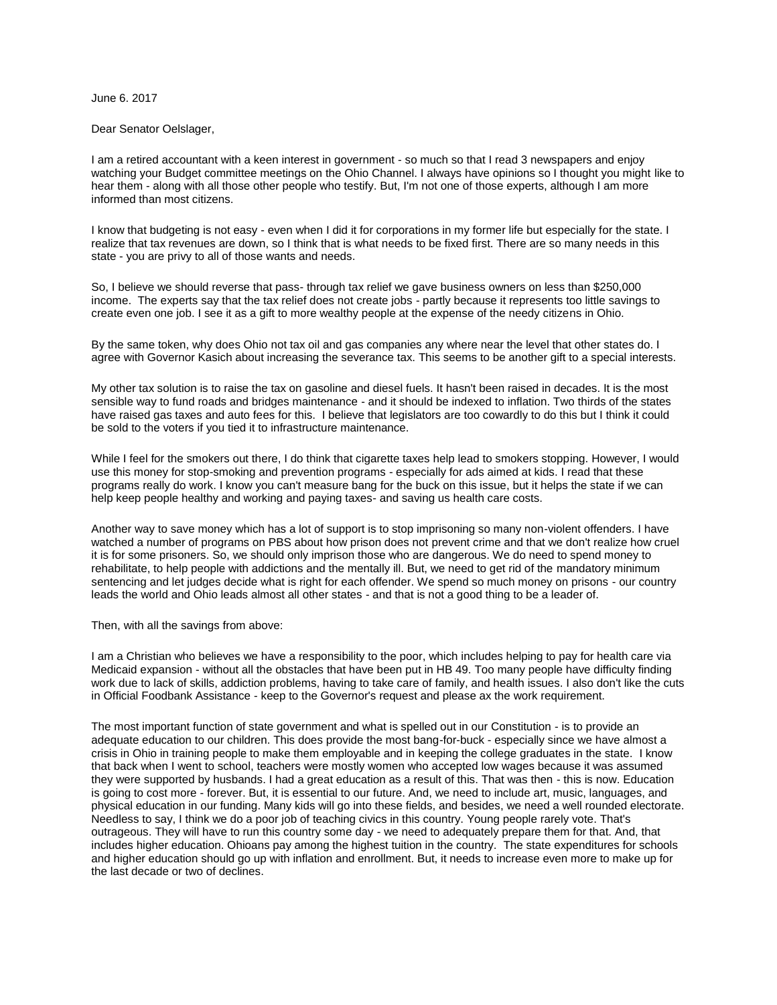## June 6. 2017

## Dear Senator Oelslager,

I am a retired accountant with a keen interest in government - so much so that I read 3 newspapers and enjoy watching your Budget committee meetings on the Ohio Channel. I always have opinions so I thought you might like to hear them - along with all those other people who testify. But, I'm not one of those experts, although I am more informed than most citizens.

I know that budgeting is not easy - even when I did it for corporations in my former life but especially for the state. I realize that tax revenues are down, so I think that is what needs to be fixed first. There are so many needs in this state - you are privy to all of those wants and needs.

So, I believe we should reverse that pass- through tax relief we gave business owners on less than \$250,000 income. The experts say that the tax relief does not create jobs - partly because it represents too little savings to create even one job. I see it as a gift to more wealthy people at the expense of the needy citizens in Ohio.

By the same token, why does Ohio not tax oil and gas companies any where near the level that other states do. I agree with Governor Kasich about increasing the severance tax. This seems to be another gift to a special interests.

My other tax solution is to raise the tax on gasoline and diesel fuels. It hasn't been raised in decades. It is the most sensible way to fund roads and bridges maintenance - and it should be indexed to inflation. Two thirds of the states have raised gas taxes and auto fees for this. I believe that legislators are too cowardly to do this but I think it could be sold to the voters if you tied it to infrastructure maintenance.

While I feel for the smokers out there, I do think that cigarette taxes help lead to smokers stopping. However, I would use this money for stop-smoking and prevention programs - especially for ads aimed at kids. I read that these programs really do work. I know you can't measure bang for the buck on this issue, but it helps the state if we can help keep people healthy and working and paying taxes- and saving us health care costs.

Another way to save money which has a lot of support is to stop imprisoning so many non-violent offenders. I have watched a number of programs on PBS about how prison does not prevent crime and that we don't realize how cruel it is for some prisoners. So, we should only imprison those who are dangerous. We do need to spend money to rehabilitate, to help people with addictions and the mentally ill. But, we need to get rid of the mandatory minimum sentencing and let judges decide what is right for each offender. We spend so much money on prisons - our country leads the world and Ohio leads almost all other states - and that is not a good thing to be a leader of.

Then, with all the savings from above:

I am a Christian who believes we have a responsibility to the poor, which includes helping to pay for health care via Medicaid expansion - without all the obstacles that have been put in HB 49. Too many people have difficulty finding work due to lack of skills, addiction problems, having to take care of family, and health issues. I also don't like the cuts in Official Foodbank Assistance - keep to the Governor's request and please ax the work requirement.

The most important function of state government and what is spelled out in our Constitution - is to provide an adequate education to our children. This does provide the most bang-for-buck - especially since we have almost a crisis in Ohio in training people to make them employable and in keeping the college graduates in the state. I know that back when I went to school, teachers were mostly women who accepted low wages because it was assumed they were supported by husbands. I had a great education as a result of this. That was then - this is now. Education is going to cost more - forever. But, it is essential to our future. And, we need to include art, music, languages, and physical education in our funding. Many kids will go into these fields, and besides, we need a well rounded electorate. Needless to say, I think we do a poor job of teaching civics in this country. Young people rarely vote. That's outrageous. They will have to run this country some day - we need to adequately prepare them for that. And, that includes higher education. Ohioans pay among the highest tuition in the country. The state expenditures for schools and higher education should go up with inflation and enrollment. But, it needs to increase even more to make up for the last decade or two of declines.